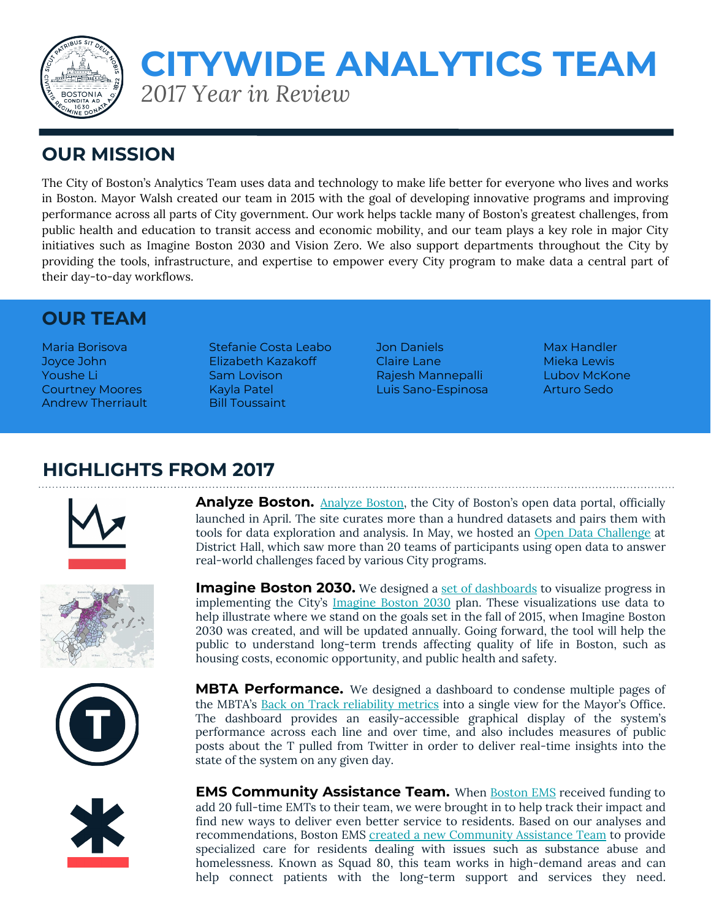

# *2017 Year in Review* **CITYWIDE ANALYTICS TEAM**

### **OUR MISSION**

The City of Boston's Analytics Team uses data and technology to make life better for everyone who lives and works in Boston. Mayor Walsh created our team in 2015 with the goal of developing innovative programs and improving performance across all parts of City government. Our work helps tackle many of Boston's greatest challenges, from public health and education to transit access and economic mobility, and our team plays a key role in major City initiatives such as Imagine Boston 2030 and Vision Zero. We also support departments throughout the City by providing the tools, infrastructure, and expertise to empower every City program to make data a central part of their day-to-day workflows.

#### **OUR TEAM**

Andrew Therriault Bill Toussaint

Maria Borisova Stefanie Costa Leabo Jon Daniels Max Handler Joyce John Elizabeth Kazakoff Claire Lane Mieka Lewis Youshe Li Sam Lovison Rajesh Mannepalli Lubov McKone Courtney Moores **Kayla Patel Luis Sano-Espinosa** Arturo Sedo

### **HIGHLIGHTS FROM 2017**



**Analyze Boston.** [Analyze Boston,](http://data.boston.gov) the City of Boston's open data portal, officially launched in April. The site curates more than a hundred datasets and pairs them with tools for data exploration and analysis. In May, we hosted an [Open Data Challenge](https://data.boston.gov/pages/opendatachallenge) at District Hall, which saw more than 20 teams of participants using open data to answer real-world challenges faced by various City programs.

**Imagine Boston 2030.** We designed a [set of dashboards](https://imagine.boston.gov/metrics-dashboard/) to visualize progress in implementing the City's [Imagine Boston 2030](https://imagine.boston.gov/) plan. These visualizations use data to help illustrate where we stand on the goals set in the fall of 2015, when Imagine Boston 2030 was created, and will be updated annually. Going forward, the tool will help the public to understand long-term trends affecting quality of life in Boston, such as

housing costs, economic opportunity, and public health and safety.







**MBTA Performance.** We designed a dashboard to condense multiple pages of the MBTA's [Back on Track reliability metrics](http://www.mbtabackontrack.com/performance/index.html#/home) into a single view for the Mayor's Office. The dashboard provides an easily-accessible graphical display of the system's performance across each line and over time, and also includes measures of public posts about the T pulled from Twitter in order to deliver real-time insights into the state of the system on any given day.

**EMS Community Assistance Team.** When **Boston EMS** received funding to add 20 full-time EMTs to their team, we were brought in to help track their impact and find new ways to deliver even better service to residents. Based on our analyses and recommendations, Boston EMS [created a new Community Assistance Team](https://budget.boston.gov/featured-analysis/health-safety-proactive-agile-ems-through-data/) to provide specialized care for residents dealing with issues such as substance abuse and homelessness. Known as Squad 80, this team works in high-demand areas and can help connect patients with the long-term support and services they need.